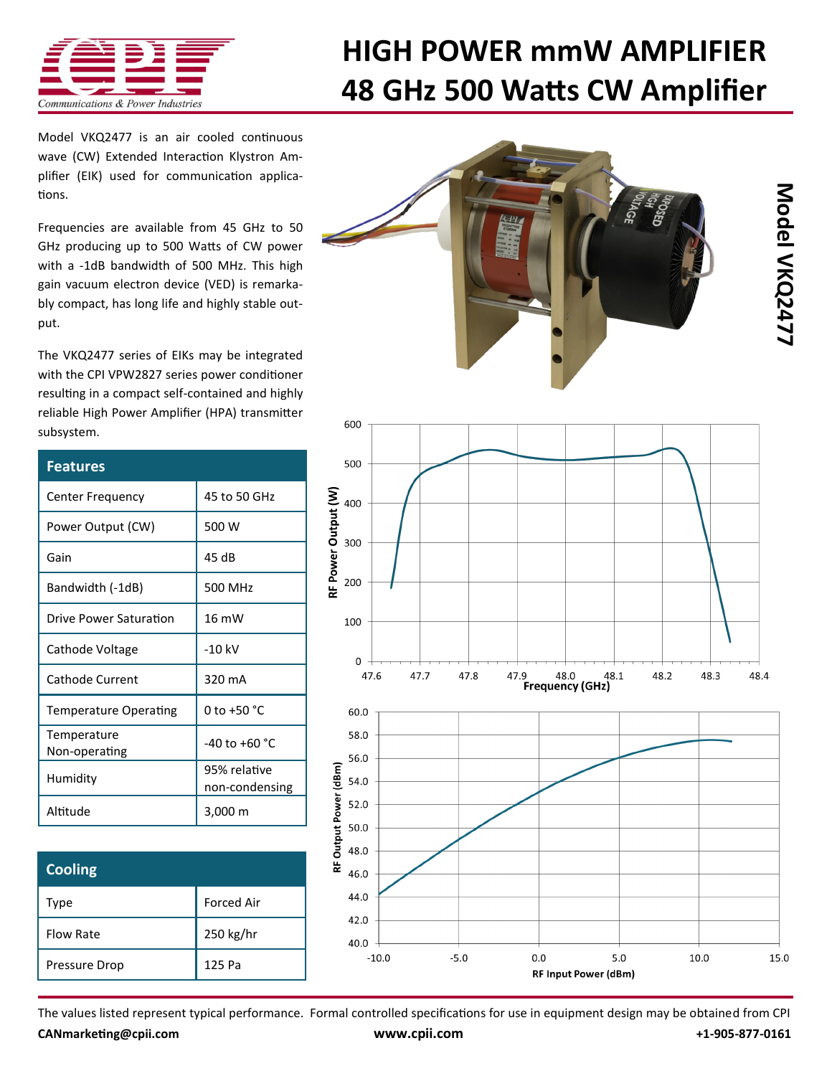

## **[HIGH POWER mmW AMPLIFIER](http://www.cpii.com/product.cfm/7/40/218) 48 GHz 500 Watts CW Amplifier**

Model VKQ2477 is an air cooled [continuous](http://www.cpii.com/product.cfm/7/40/218)  [wave \(CW\) Extended Interaction Klystron Am](http://www.cpii.com/product.cfm/7/40/218)[plifier \(EIK\) u](http://www.cpii.com/product.cfm/7/40/218)sed for communication applications.

Frequencies are available from 45 GHz to 50 GHz producing up to 500 Watts of CW power with a -1dB bandwidth of 500 MHz. This high gain vacuum electron device (VED) is remarkably compact, has long life and highly stable output.

The VKQ2477 series of EIKs may be integrated with the CPI [VPW2827 series power conditioner](http://www.cpii.com/product.cfm/7/40/281)  resulting in a compact self-contained and highly reliable High Power Amplifier (HPA) transmitter subsystem.

| <b>Features</b>              |                                |
|------------------------------|--------------------------------|
| <b>Center Frequency</b>      | 45 to 50 GHz                   |
| Power Output (CW)            | 500 W                          |
| Gain                         | 45 dB                          |
| Bandwidth (-1dB)             | 500 MHz                        |
| Drive Power Saturation       | 16 mW                          |
| Cathode Voltage              | $-10$ kV                       |
| Cathode Current              | 320 mA                         |
| <b>Temperature Operating</b> | 0 to $+50 °C$                  |
| Temperature<br>Non-operating | $-40$ to $+60$ °C              |
| Humidity                     | 95% relative<br>non-condensing |
| Altitude                     | 3,000 m                        |

| <b>Cooling</b>   |                   |
|------------------|-------------------|
| Type             | <b>Forced Air</b> |
| <b>Flow Rate</b> | 250 kg/hr         |
| Pressure Drop    | 125 Pa            |





The values listed represent typical performance. Formal controlled specifications for use in equipment design may be obtained from CPI **[CANmarketing@cpii.com](mailto:CANmarketing@cpii.com) [www.cpii.com](http://www.cpii.com) +1-905-877-0161**